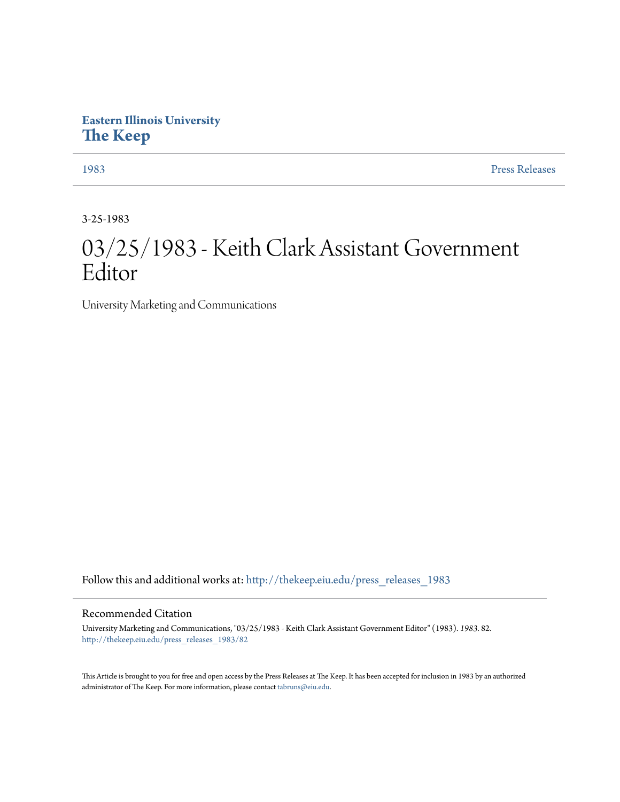## **Eastern Illinois University [The Keep](http://thekeep.eiu.edu?utm_source=thekeep.eiu.edu%2Fpress_releases_1983%2F82&utm_medium=PDF&utm_campaign=PDFCoverPages)**

[1983](http://thekeep.eiu.edu/press_releases_1983?utm_source=thekeep.eiu.edu%2Fpress_releases_1983%2F82&utm_medium=PDF&utm_campaign=PDFCoverPages) [Press Releases](http://thekeep.eiu.edu/press_releases_collection?utm_source=thekeep.eiu.edu%2Fpress_releases_1983%2F82&utm_medium=PDF&utm_campaign=PDFCoverPages)

3-25-1983

## 03/25/1983 - Keith Clark Assistant Government Editor

University Marketing and Communications

Follow this and additional works at: [http://thekeep.eiu.edu/press\\_releases\\_1983](http://thekeep.eiu.edu/press_releases_1983?utm_source=thekeep.eiu.edu%2Fpress_releases_1983%2F82&utm_medium=PDF&utm_campaign=PDFCoverPages)

## Recommended Citation

University Marketing and Communications, "03/25/1983 - Keith Clark Assistant Government Editor" (1983). *1983*. 82. [http://thekeep.eiu.edu/press\\_releases\\_1983/82](http://thekeep.eiu.edu/press_releases_1983/82?utm_source=thekeep.eiu.edu%2Fpress_releases_1983%2F82&utm_medium=PDF&utm_campaign=PDFCoverPages)

This Article is brought to you for free and open access by the Press Releases at The Keep. It has been accepted for inclusion in 1983 by an authorized administrator of The Keep. For more information, please contact [tabruns@eiu.edu.](mailto:tabruns@eiu.edu)